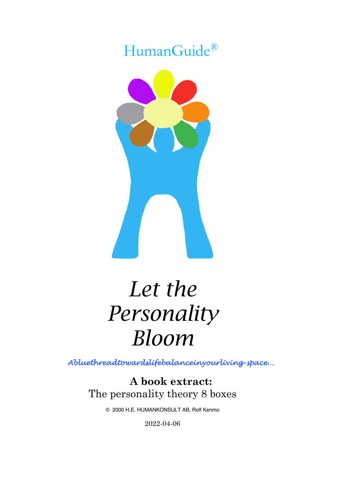## HumanGuide®



# *Let the Personality Bloom*

*Abluethreadtowardslifebalanceinyourliving-space…* 

**A book extract:** The personality theory 8 boxes

© 2000 H.E. HUMANKONSULT AB, Rolf Kenmo

2022-04-06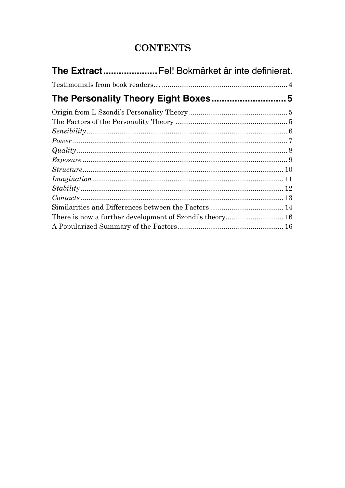## **CONTENTS**

| The Extract Fel! Bokmärket är inte definierat.           |  |
|----------------------------------------------------------|--|
|                                                          |  |
|                                                          |  |
|                                                          |  |
|                                                          |  |
|                                                          |  |
|                                                          |  |
| $Quality \dots$                                          |  |
|                                                          |  |
|                                                          |  |
|                                                          |  |
|                                                          |  |
|                                                          |  |
|                                                          |  |
| There is now a further development of Szondi's theory 16 |  |
|                                                          |  |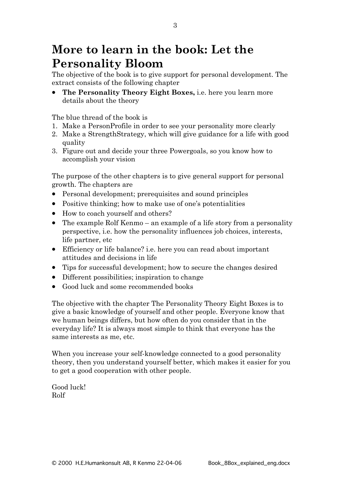## **More to learn in the book: Let the Personality Bloom**

The objective of the book is to give support for personal development. The extract consists of the following chapter

• **The Personality Theory Eight Boxes,** i.e. here you learn more details about the theory

The blue thread of the book is

- 1. Make a PersonProfile in order to see your personality more clearly
- 2. Make a StrengthStrategy, which will give guidance for a life with good quality
- 3. Figure out and decide your three Powergoals, so you know how to accomplish your vision

The purpose of the other chapters is to give general support for personal growth. The chapters are

- Personal development; prerequisites and sound principles
- Positive thinking; how to make use of one's potentialities
- How to coach yourself and others?
- The example Rolf Kenmo an example of a life story from a personality perspective, i.e. how the personality influences job choices, interests, life partner, etc
- Efficiency or life balance? i.e. here you can read about important attitudes and decisions in life
- Tips for successful development; how to secure the changes desired
- Different possibilities; inspiration to change
- Good luck and some recommended books

The objective with the chapter The Personality Theory Eight Boxes is to give a basic knowledge of yourself and other people. Everyone know that we human beings differs, but how often do you consider that in the everyday life? It is always most simple to think that everyone has the same interests as me, etc.

When you increase your self-knowledge connected to a good personality theory, then you understand yourself better, which makes it easier for you to get a good cooperation with other people.

Good luck! Rolf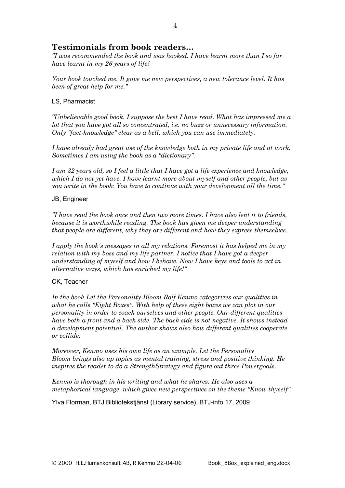#### **Testimonials from book readers…**

*"I was recommended the book and was hooked. I have learnt more than I so far have learnt in my 26 years of life!* 

*Your book touched me. It gave me new perspectives, a new tolerance level. It has been of great help for me."*

#### LS, Pharmacist

*"Unbelievable good book. I suppose the best I have read. What has impressed me a lot that you have got all so concentrated, i.e. no buzz or unnecessary information. Only "fact-knowledge" clear as a bell, which you can use immediately.*

*I have already had great use of the knowledge both in my private life and at work. Sometimes I am using the book as a "dictionary".* 

*I am 32 years old, so I feel a little that I have got a life experience and knowledge, which I do not yet have. I have learnt more about myself and other people, but as you write in the book: You have to continue with your development all the time."*

#### JB, Engineer

*"I have read the book once and then two more times. I have also lent it to friends, because it is worthwhile reading. The book has given me deeper understanding that people are different, why they are different and how they express themselves.* 

*I apply the book's messages in all my relations. Foremost it has helped me in my relation with my boss and my life partner. I notice that I have got a deeper understanding of myself and how I behave. Now I have keys and tools to act in alternative ways, which has enriched my life!"*

#### CK, Teacher

*In the book Let the Personality Bloom Rolf Kenmo categorizes our qualities in*  what he calls "Eight Boxes". With help of these eight boxes we can plot in our *personality in order to coach ourselves and other people. Our different qualities have both a front and a back side. The back side is not negative. It shows instead a development potential. The author shows also how different qualities cooperate or collide.*

*Moreover, Kenmo uses his own life as an example. Let the Personality Bloom brings also up topics as mental training, stress and positive thinking. He inspires the reader to do a StrengthStrategy and figure out three Powergoals.* 

*Kenmo is thorough in his writing and what he shares. He also uses a metaphorical language, which gives new perspectives on the theme "Know thyself".*

Ylva Florman, BTJ Bibliotekstjänst (Library service), BTJ-info 17, 2009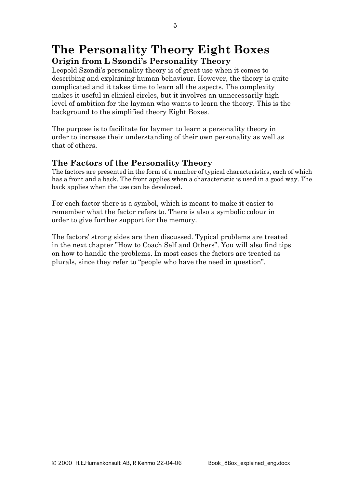## **The Personality Theory Eight Boxes Origin from L Szondi's Personality Theory**

Leopold Szondi's personality theory is of great use when it comes to describing and explaining human behaviour. However, the theory is quite complicated and it takes time to learn all the aspects. The complexity makes it useful in clinical circles, but it involves an unnecessarily high level of ambition for the layman who wants to learn the theory. This is the background to the simplified theory Eight Boxes.

The purpose is to facilitate for laymen to learn a personality theory in order to increase their understanding of their own personality as well as that of others.

#### **The Factors of the Personality Theory**

The factors are presented in the form of a number of typical characteristics, each of which has a front and a back. The front applies when a characteristic is used in a good way. The back applies when the use can be developed.

For each factor there is a symbol, which is meant to make it easier to remember what the factor refers to. There is also a symbolic colour in order to give further support for the memory.

The factors' strong sides are then discussed. Typical problems are treated in the next chapter "How to Coach Self and Others". You will also find tips on how to handle the problems. In most cases the factors are treated as plurals, since they refer to "people who have the need in question".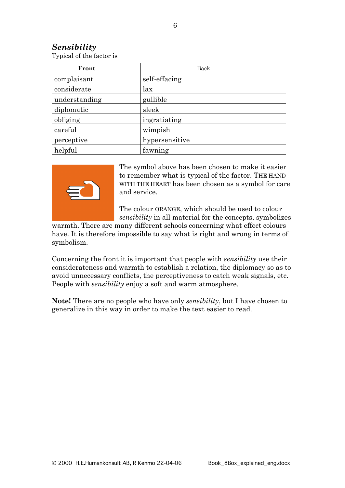#### *Sensibility*

Typical of the factor is

| Front         | Back           |  |
|---------------|----------------|--|
| complaisant   | self-effacing  |  |
| considerate   | lax            |  |
| understanding | gullible       |  |
| diplomatic    | sleek          |  |
| obliging      | ingratiating   |  |
| careful       | wimpish        |  |
| perceptive    | hypersensitive |  |
| helpful       | fawning        |  |



The symbol above has been chosen to make it easier to remember what is typical of the factor. THE HAND WITH THE HEART has been chosen as a symbol for care and service.

The colour ORANGE, which should be used to colour *sensibility* in all material for the concepts, symbolizes

warmth. There are many different schools concerning what effect colours have. It is therefore impossible to say what is right and wrong in terms of symbolism.

Concerning the front it is important that people with *sensibility* use their considerateness and warmth to establish a relation, the diplomacy so as to avoid unnecessary conflicts, the perceptiveness to catch weak signals, etc. People with *sensibility* enjoy a soft and warm atmosphere.

**Note!** There are no people who have only *sensibility*, but I have chosen to generalize in this way in order to make the text easier to read.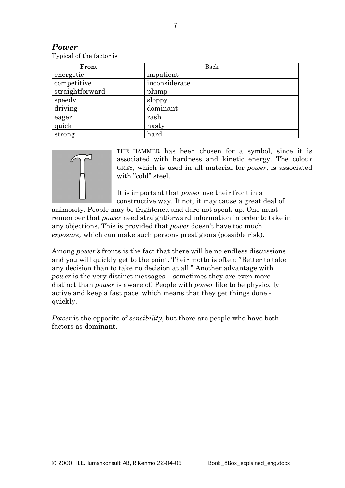| Typical of the factor is |               |  |  |
|--------------------------|---------------|--|--|
| Front                    | Back          |  |  |
| energetic                | impatient     |  |  |
| competitive              | inconsiderate |  |  |
| straightforward          | plump         |  |  |
| speedy                   | sloppy        |  |  |
| driving                  | dominant      |  |  |
| eager                    | rash          |  |  |
| quick                    | hasty         |  |  |





strong hard

THE HAMMER has been chosen for a symbol, since it is associated with hardness and kinetic energy. The colour GREY, which is used in all material for *power*, is associated with "cold" steel.

It is important that *power* use their front in a constructive way. If not, it may cause a great deal of

animosity. People may be frightened and dare not speak up. One must remember that *power* need straightforward information in order to take in any objections. This is provided that *power* doesn't have too much *exposure,* which can make such persons prestigious (possible risk).

Among *power's* fronts is the fact that there will be no endless discussions and you will quickly get to the point. Their motto is often: "Better to take any decision than to take no decision at all." Another advantage with *power* is the very distinct messages – sometimes they are even more distinct than *power* is aware of. People with *power* like to be physically active and keep a fast pace, which means that they get things done quickly.

*Power* is the opposite of *sensibility*, but there are people who have both factors as dominant.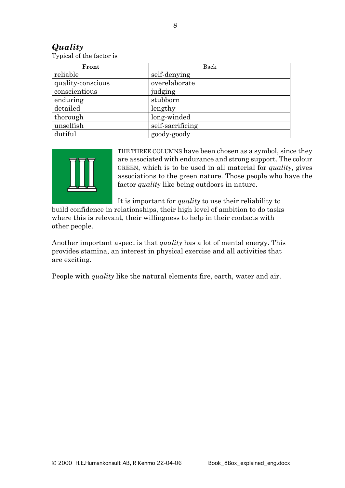#### *Quality*

Typical of the factor is

| Front             | Back             |  |
|-------------------|------------------|--|
| reliable          | self-denying     |  |
| quality-conscious | overelaborate    |  |
| conscientious     | judging          |  |
| enduring          | stubborn         |  |
| detailed          | lengthy          |  |
| thorough          | long-winded      |  |
| unselfish         | self-sacrificing |  |
| dutiful           | goody-goody      |  |



THE THREE COLUMNS have been chosen as a symbol, since they are associated with endurance and strong support. The colour GREEN, which is to be used in all material for *quality*, gives associations to the green nature. Those people who have the factor *quality* like being outdoors in nature.

It is important for *quality* to use their reliability to

build confidence in relationships, their high level of ambition to do tasks where this is relevant, their willingness to help in their contacts with other people.

Another important aspect is that *quality* has a lot of mental energy. This provides stamina, an interest in physical exercise and all activities that are exciting.

People with *quality* like the natural elements fire, earth, water and air.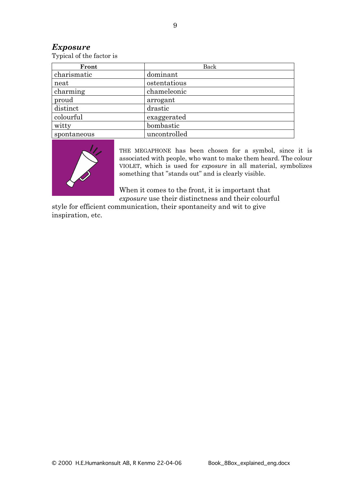#### *Exposure*

Typical of the factor is

| Front       | Back         |  |
|-------------|--------------|--|
| charismatic | dominant     |  |
| neat        | ostentatious |  |
| charming    | chameleonic  |  |
| proud       | arrogant     |  |
| distinct    | drastic      |  |
| colourful   | exaggerated  |  |
| witty       | bombastic    |  |
| spontaneous | uncontrolled |  |



THE MEGAPHONE has been chosen for a symbol, since it is associated with people, who want to make them heard. The colour VIOLET, which is used for *exposure* in all material, symbolizes something that "stands out" and is clearly visible.

When it comes to the front, it is important that *exposure* use their distinctness and their colourful

style for efficient communication, their spontaneity and wit to give inspiration, etc.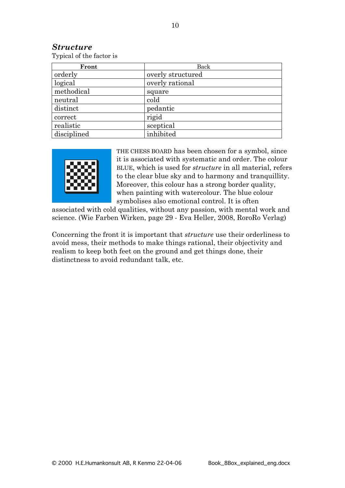#### *Structure*

Typical of the factor is

| Front       | Back              |  |
|-------------|-------------------|--|
| orderly     | overly structured |  |
| logical     | overly rational   |  |
| methodical  | square            |  |
| neutral     | cold              |  |
| distinct    | pedantic          |  |
| correct     | rigid             |  |
| realistic   | sceptical         |  |
| disciplined | inhibited         |  |



THE CHESS BOARD has been chosen for a symbol, since it is associated with systematic and order. The colour BLUE, which is used for *structure* in all material, refers to the clear blue sky and to harmony and tranquillity. Moreover, this colour has a strong border quality, when painting with watercolour. The blue colour symbolises also emotional control. It is often

associated with cold qualities, without any passion, with mental work and science. (Wie Farben Wirken, page 29 - Eva Heller, 2008, RoroRo Verlag)

Concerning the front it is important that *structure* use their orderliness to avoid mess, their methods to make things rational, their objectivity and realism to keep both feet on the ground and get things done, their distinctness to avoid redundant talk, etc.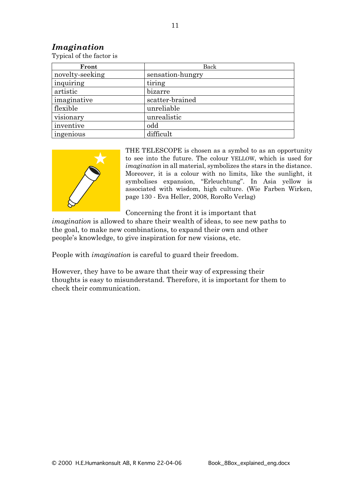#### *Imagination*

Typical of the factor is

| Front           | Back             |  |
|-----------------|------------------|--|
| novelty-seeking | sensation-hungry |  |
| inquiring       | tiring           |  |
| artistic        | bizarre          |  |
| imaginative     | scatter-brained  |  |
| flexible        | unreliable       |  |
| visionary       | unrealistic      |  |
| inventive       | odd              |  |
| ingenious       | difficult        |  |



THE TELESCOPE is chosen as a symbol to as an opportunity to see into the future. The colour YELLOW, which is used for *imagination* in all material, symbolizes the stars in the distance. Moreover, it is a colour with no limits, like the sunlight, it symbolises expansion, "Erleuchtung". In Asia yellow is associated with wisdom, high culture. (Wie Farben Wirken, page 130 - Eva Heller, 2008, RoroRo Verlag)

Concerning the front it is important that

*imagination* is allowed to share their wealth of ideas, to see new paths to the goal, to make new combinations, to expand their own and other people's knowledge, to give inspiration for new visions, etc.

People with *imagination* is careful to guard their freedom.

However, they have to be aware that their way of expressing their thoughts is easy to misunderstand. Therefore, it is important for them to check their communication.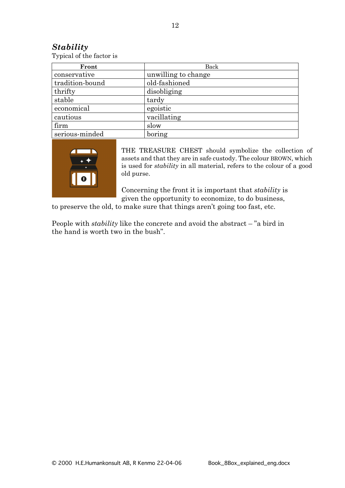#### *Stability*

Typical of the factor is

| Front           | Back                |  |  |
|-----------------|---------------------|--|--|
| conservative    | unwilling to change |  |  |
| tradition-bound | old-fashioned       |  |  |
| thrifty         | disobliging         |  |  |
| stable          | tardy               |  |  |
| economical      | egoistic            |  |  |
| cautious        | vacillating         |  |  |
| firm            | slow                |  |  |
| serious-minded  | boring              |  |  |



THE TREASURE CHEST should symbolize the collection of assets and that they are in safe custody. The colour BROWN, which is used for *stability* in all material, refers to the colour of a good old purse.

Concerning the front it is important that *stability* is given the opportunity to economize, to do business,

to preserve the old, to make sure that things aren't going too fast, etc.

People with *stability* like the concrete and avoid the abstract – "a bird in the hand is worth two in the bush".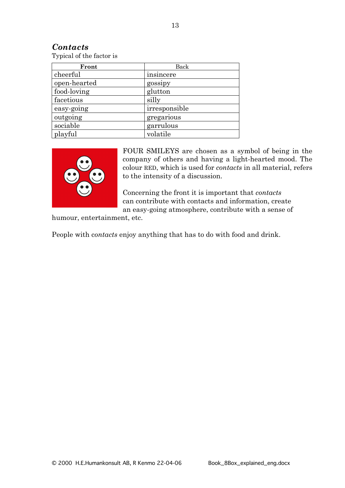#### *Contacts*

Typical of the factor is

| Front        | Back          |
|--------------|---------------|
| cheerful     | insincere     |
| open-hearted | gossipy       |
| food-loving  | glutton       |
| facetious    | silly         |
| easy-going   | irresponsible |
| outgoing     | gregarious    |
| sociable     | garrulous     |
| playful      | volatile      |



FOUR SMILEYS are chosen as a symbol of being in the company of others and having a light-hearted mood. The colour RED, which is used for *contacts* in all material, refers to the intensity of a discussion.

Concerning the front it is important that *contacts* can contribute with contacts and information, create an easy-going atmosphere, contribute with a sense of

humour, entertainment, etc.

People with c*ontacts* enjoy anything that has to do with food and drink.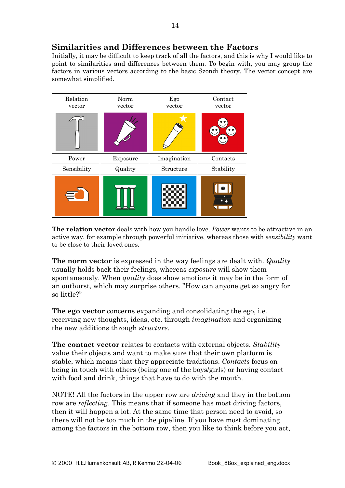Initially, it may be difficult to keep track of all the factors, and this is why I would like to point to similarities and differences between them. To begin with, you may group the factors in various vectors according to the basic Szondi theory. The vector concept are somewhat simplified.

| Relation<br>vector | Norm<br>vector | Ego<br>vector | Contact<br>vector |
|--------------------|----------------|---------------|-------------------|
|                    |                |               |                   |
| Power              | Exposure       | Imagination   | Contacts          |
| Sensibility        | Quality        | Structure     | Stability         |
|                    |                |               |                   |

**The relation vector** deals with how you handle love. *Power* wants to be attractive in an active way, for example through powerful initiative, whereas those with *sensibility* want to be close to their loved ones.

**The norm vector** is expressed in the way feelings are dealt with. *Quality* usually holds back their feelings, whereas *exposure* will show them spontaneously. When *quality* does show emotions it may be in the form of an outburst, which may surprise others. "How can anyone get so angry for so little?"

**The ego vector** concerns expanding and consolidating the ego, i.e. receiving new thoughts, ideas, etc. through *imagination* and organizing the new additions through *structure*.

**The contact vector** relates to contacts with external objects. *Stability* value their objects and want to make sure that their own platform is stable, which means that they appreciate traditions. *Contacts* focus on being in touch with others (being one of the boys/girls) or having contact with food and drink, things that have to do with the mouth.

NOTE! All the factors in the upper row are *driving* and they in the bottom row are *reflecting*. This means that if someone has most driving factors, then it will happen a lot. At the same time that person need to avoid, so there will not be too much in the pipeline. If you have most dominating among the factors in the bottom row, then you like to think before you act,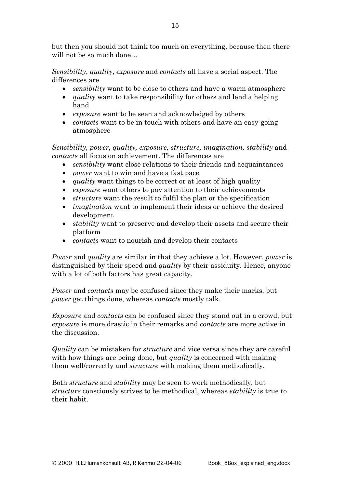but then you should not think too much on everything, because then there will not be so much done…

*Sensibility*, *quality*, *exposure* and *contacts* all have a social aspect. The differences are

- *sensibility* want to be close to others and have a warm atmosphere
- *quality* want to take responsibility for others and lend a helping hand
- *exposure* want to be seen and acknowledged by others
- *contacts* want to be in touch with others and have an easy-going atmosphere

*Sensibility, power, quality, exposure, structure, imagination, stability* and *contacts* all focus on achievement. The differences are

- *sensibility* want close relations to their friends and acquaintances
- *power* want to win and have a fast pace
- *quality* want things to be correct or at least of high quality
- *exposure* want others to pay attention to their achievements
- *structure* want the result to fulfil the plan or the specification
- *imagination* want to implement their ideas or achieve the desired development
- *stability* want to preserve and develop their assets and secure their platform
- *contacts* want to nourish and develop their contacts

*Power* and *quality* are similar in that they achieve a lot. However, *power* is distinguished by their speed and *quality* by their assiduity. Hence, anyone with a lot of both factors has great capacity.

*Power* and *contacts* may be confused since they make their marks, but *power* get things done, whereas *contacts* mostly talk.

*Exposure* and *contacts* can be confused since they stand out in a crowd, but *exposure* is more drastic in their remarks and *contacts* are more active in the discussion.

*Quality* can be mistaken for *structure* and vice versa since they are careful with how things are being done, but *quality* is concerned with making them well/correctly and *structure* with making them methodically.

Both *structure* and *stability* may be seen to work methodically, but *structure* consciously strives to be methodical, whereas *stability* is true to their habit.